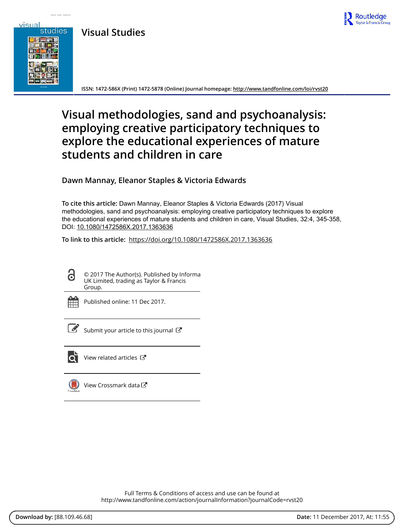

**Visual Studies**



**ISSN: 1472-586X (Print) 1472-5878 (Online) Journal homepage: <http://www.tandfonline.com/loi/rvst20>**

# **Visual methodologies, sand and psychoanalysis: employing creative participatory techniques to explore the educational experiences of mature students and children in care**

**Dawn Mannay, Eleanor Staples & Victoria Edwards**

**To cite this article:** Dawn Mannay, Eleanor Staples & Victoria Edwards (2017) Visual methodologies, sand and psychoanalysis: employing creative participatory techniques to explore the educational experiences of mature students and children in care, Visual Studies, 32:4, 345-358, DOI: [10.1080/1472586X.2017.1363636](http://www.tandfonline.com/action/showCitFormats?doi=10.1080/1472586X.2017.1363636)

**To link to this article:** <https://doi.org/10.1080/1472586X.2017.1363636>

G

© 2017 The Author(s). Published by Informa UK Limited, trading as Taylor & Francis Group.



Published online: 11 Dec 2017.

[Submit your article to this journal](http://www.tandfonline.com/action/authorSubmission?journalCode=rvst20&show=instructions)  $\mathbb{Z}$ 



 $\overrightarrow{Q}$  [View related articles](http://www.tandfonline.com/doi/mlt/10.1080/1472586X.2017.1363636)  $\overrightarrow{C}$ 



[View Crossmark data](http://crossmark.crossref.org/dialog/?doi=10.1080/1472586X.2017.1363636&domain=pdf&date_stamp=2017-12-11)

Full Terms & Conditions of access and use can be found at <http://www.tandfonline.com/action/journalInformation?journalCode=rvst20>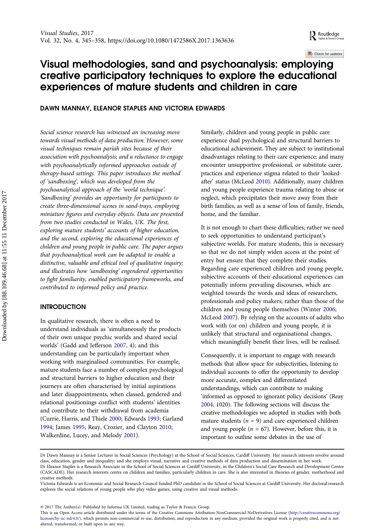# <span id="page-1-0"></span>Visual methodologies, sand and psychoanalysis: employing creative participatory techniques to explore the educational experiences of mature students and children in care

# DAWN MANNAY, ELEANOR STAPLES AND VICTORIA EDWARDS

Social science research has witnessed an increasing move towards visual methods of data production. However, some visual techniques remain pariah sites because of their association with psychoanalysis; and a reluctance to engage with psychoanalytically informed approaches outside of therapy-based settings. This paper introduces the method of 'sandboxing', which was developed from the psychoanalytical approach of the 'world technique'. 'Sandboxing' provides an opportunity for participants to create three-dimensional scenes in sand-trays, employing miniature figures and everyday objects. Data are presented from two studies conducted in Wales, UK. The first, exploring mature students' accounts of higher education, and the second, exploring the educational experiences of children and young people in public care. The paper argues that psychoanalytical work can be adapted to enable a distinctive, valuable and ethical tool of qualitative inquiry; and illustrates how 'sandboxing' engendered opportunities to fight familiarity, enabled participatory frameworks, and contributed to informed policy and practice.

# **INTRODUCTION**

In qualitative research, there is often a need to understand individuals as 'simultaneously the products of their own unique psychic worlds and shared social worlds' (Gadd and Jefferson [2007,](#page-12-0) 4); and this understanding can be particularly important when working with marginalised communities. For example, mature students face a number of complex psychological and structural barriers to higher education and their journeys are often characterised by initial aspirations and later disappointments, when classed, gendered and relational positionings conflict with students' identities and contribute to their withdrawal from academia (Currie, Harris, and Thiele [2000](#page-12-0); Edwards [1993](#page-12-0); Garland [1994;](#page-12-0) James [1995](#page-13-0); Reay, Crozier, and Clayton [2010;](#page-14-0) Walkerdine, Lucey, and Melody [2001\)](#page-14-0).

Similarly, children and young people in public care experience dual psychological and structural barriers to educational achievement. They are subject to institutional disadvantages relating to their care experience; and many encounter unsupportive professional, or substitute carer, practices and experience stigma related to their 'lookedafter' status (McLeod [2010\)](#page-14-0). Additionally, many children and young people experience trauma relating to abuse or neglect, which precipitates their move away from their birth families, as well as a sense of loss of family, friends, home, and the familiar.

 $\sum_{\text{Raylor } \text{A Francis Gr}}$ 

Check for updates

It is not enough to chart these difficulties; rather we need to seek opportunities to understand participant's subjective worlds. For mature students, this is necessary so that we do not simply widen access at the point of entry but ensure that they complete their studies. Regarding care experienced children and young people, subjective accounts of their educational experiences can potentially inform prevailing discourses, which are weighted towards the words and ideas of researchers, professionals and policy makers; rather than those of the children and young people themselves (Winter [2006;](#page-14-0) McLeod [2007](#page-14-0)). By relying on the accounts of adults who work with (or on) children and young people, it is unlikely that structural and organisational changes, which meaningfully benefit their lives, will be realised.

Consequently, it is important to engage with research methods that allow space for subjectivities, listening to individual accounts to offer the opportunity to develop more accurate, complex and differentiated understandings, which can contribute to making 'informed as opposed to ignorant policy decisions' (Reay [2004,](#page-14-0) 1020). The following sections will discuss the creative methodologies we adopted in studies with both mature students ( $n = 9$ ) and care experienced children and young people ( $n = 67$ ). However, before this, it is important to outline some debates in the use of

Dr Dawn Mannay is a Senior Lecturer in Social Sciences (Psychology) at the School of Social Sciences, Cardiff University. Her research interests revolve around class, education, gender and inequality; and she employs visual, narrative and creative methods of data production and dissemination in her work. Dr Eleanor Staples is a Research Associate in the School of Social Sciences at Cardiff University, in the Children's Social Care Research and Development Centre (CASCADE). Her research interests centre on children and families, particularly children in care. She is also interested in theories of gender, motherhood and creative methods.

Victoria Edwards is an Economic and Social Research Council funded PhD candidate in the School of Social Sciences at Cardiff University. Her doctoral research explores the social relations of young people who play video games, using creative and visual methods.

<sup>© 2017</sup> The Author(s). Published by Informa UK Limited, trading as Taylor & Francis Group.

This is an Open Access article distributed under the terms of the Creative Commons Attribution-NonCommercial-NoDerivatives License (http://creativecommons.org/ licenses/by-nc-nd/4.0/), which permits non-commercial re-use, distribution, and reproduction in any medium, provided the original work is properly cited, and is not altered, transformed, or built upon in any way.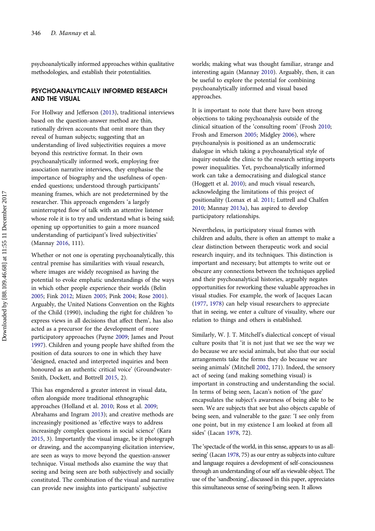<span id="page-2-0"></span>psychoanalytically informed approaches within qualitative methodologies, and establish their potentialities.

#### PSYCHOANALYTICALLY INFORMED RESEARCH AND THE VISUAL

For Hollway and Jefferson ([2013\)](#page-13-0), traditional interviews based on the question-answer method are thin, rationally driven accounts that omit more than they reveal of human subjects; suggesting that an understanding of lived subjectivities requires a move beyond this restrictive format. In their own psychoanalytically informed work, employing free association narrative interviews, they emphasise the importance of biography and the usefulness of openended questions; understood through participants' meaning frames, which are not predetermined by the researcher. This approach engenders 'a largely uninterrupted flow of talk with an attentive listener whose role it is to try and understand what is being said; opening up opportunities to gain a more nuanced understanding of participant's lived subjectivities' (Mannay [2016](#page-13-0), 111).

Whether or not one is operating psychoanalytically, this central premise has similarities with visual research, where images are widely recognised as having the potential to evoke emphatic understandings of the ways in which other people experience their worlds (Belin [2005;](#page-12-0) Fink [2012;](#page-12-0) Mizen [2005;](#page-14-0) Pink [2004](#page-14-0); Rose [2001](#page-14-0)). Arguably, the United Nations Convention on the Rights of the Child (1990), including the right for children 'to express views in all decisions that affect them', has also acted as a precursor for the development of more participatory approaches (Payne [2009;](#page-14-0) James and Prout [1997\)](#page-13-0). Children and young people have shifted from the position of data sources to one in which they have 'designed, enacted and interpreted inquiries and been honoured as an authentic critical voice' (Groundwater-Smith, Dockett, and Bottrell [2015](#page-13-0), 2).

This has engendered a greater interest in visual data, often alongside more traditional ethnographic approaches (Holland et al. [2010](#page-13-0); Ross et al. [2009](#page-14-0); Abrahams and Ingram [2013](#page-12-0)); and creative methods are increasingly positioned as 'effective ways to address increasingly complex questions in social science' (Kara [2015,](#page-13-0) 3). Importantly the visual image, be it photograph or drawing, and the accompanying elicitation interview, are seen as ways to move beyond the question-answer technique. Visual methods also examine the way that seeing and being seen are both subjectively and socially constituted. The combination of the visual and narrative can provide new insights into participants' subjective

worlds; making what was thought familiar, strange and interesting again (Mannay [2010\)](#page-13-0). Arguably, then, it can be useful to explore the potential for combining psychoanalytically informed and visual based approaches.

It is important to note that there have been strong objections to taking psychoanalysis outside of the clinical situation of the 'consulting room' (Frosh [2010](#page-12-0); Frosh and Emerson [2005](#page-12-0); Midgley [2006](#page-14-0)), where psychoanalysis is positioned as an undemocratic dialogue in which taking a psychoanalytical style of inquiry outside the clinic to the research setting imports power inequalities. Yet, psychoanalytically informed work can take a democratising and dialogical stance (Hoggett et al. [2010](#page-13-0)); and much visual research, acknowledging the limitations of this project of positionality (Lomax et al. [2011;](#page-13-0) Luttrell and Chalfen [2010;](#page-13-0) Mannay [2013a](#page-13-0)), has aspired to develop participatory relationships.

Nevertheless, in participatory visual frames with children and adults, there is often an attempt to make a clear distinction between therapeutic work and social research inquiry, and its techniques. This distinction is important and necessary; but attempts to write out or obscure any connections between the techniques applied and their psychoanalytical histories, arguably negates opportunities for reworking these valuable approaches in visual studies. For example, the work of Jacques Lacan [\(1977](#page-13-0), [1978\)](#page-13-0) can help visual researchers to appreciate that in seeing, we enter a culture of visuality, where our relation to things and others is established.

Similarly, W. J. T. Mitchell's dialectical concept of visual culture posits that 'it is not just that we see the way we do because we are social animals, but also that our social arrangements take the forms they do because we are seeing animals' (Mitchell [2002](#page-14-0), 171). Indeed, the sensory act of seeing (and making something visual) is important in constructing and understanding the social. In terms of being seen, Lacan's notion of 'the gaze' encapsulates the subject's awareness of being able to be seen. We are subjects that see but also objects capable of being seen, and vulnerable to the gaze: 'I see only from one point, but in my existence I am looked at from all sides' (Lacan [1978,](#page-13-0) 72).

The 'spectacle of the world, in this sense, appears to us as allseeing' (Lacan [1978,](#page-13-0) 75) as our entry as subjects into culture and language requires a development of self-consciousness through an understanding of our self as viewable object. The use of the 'sandboxing', discussed in this paper, appreciates this simultaneous sense of seeing/being seen. It allows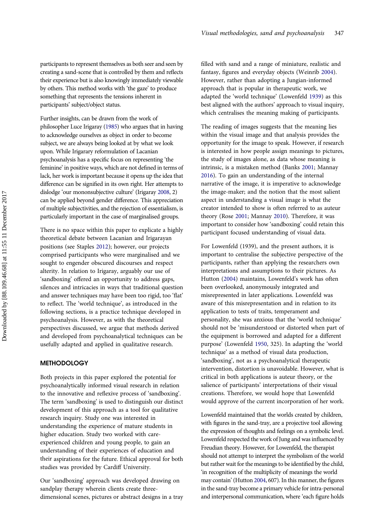<span id="page-3-0"></span>participants to represent themselves as both seer and seen by creating a sand-scene that is controlled by them and reflects their experience but is also knowingly immediately viewable by others. This method works with 'the gaze' to produce something that represents the tensions inherent in participants' subject/object status.

Further insights, can be drawn from the work of philosopher Luce Irigaray [\(1985\)](#page-13-0) who argues that in having to acknowledge ourselves as object in order to become subject, we are always being looked at by what we look upon. While Irigarary reformulation of Lacanian psychoanalysis has a specific focus on representing 'the feminine' in positive ways, which are not defined in terms of lack, her work is important because it opens up the idea that difference can be signified in its own right. Her attempts to dislodge 'our mononsubjective culture' (Irigaray [2008,](#page-13-0) 2) can be applied beyond gender difference. This appreciation of multiple subjectivities, and the rejection of essentialism, is particularly important in the case of marginalised groups.

There is no space within this paper to explicate a highly theoretical debate between Lacanian and Irigarayan positions (see Staples [2012\)](#page-14-0); however, our projects comprised participants who were marginalised and we sought to engender obscured discourses and respect alterity. In relation to Irigaray, arguably our use of 'sandboxing' offered an opportunity to address gaps, silences and intricacies in ways that traditional question and answer techniques may have been too rigid, too 'flat' to reflect. The 'world technique', as introduced in the following sections, is a practice technique developed in psychoanalysis. However, as with the theoretical perspectives discussed, we argue that methods derived and developed from psychoanalytical techniques can be usefully adapted and applied in qualitative research.

# **METHODOLOGY**

Both projects in this paper explored the potential for psychoanalytically informed visual research in relation to the innovative and reflexive process of 'sandboxing'. The term 'sandboxing' is used to distinguish our distinct development of this approach as a tool for qualitative research inquiry. Study one was interested in understanding the experience of mature students in higher education. Study two worked with careexperienced children and young people, to gain an understanding of their experiences of education and their aspirations for the future. Ethical approval for both studies was provided by Cardiff University.

Our 'sandboxing' approach was developed drawing on sandplay therapy wherein clients create threedimensional scenes, pictures or abstract designs in a tray filled with sand and a range of miniature, realistic and fantasy, figures and everyday objects (Weinrib [2004\)](#page-14-0). However, rather than adopting a Jungian-informed approach that is popular in therapeutic work, we adapted the 'world technique' (Lowenfeld [1939\)](#page-13-0) as this best aligned with the authors' approach to visual inquiry, which centralises the meaning making of participants.

The reading of images suggests that the meaning lies within the visual image and that analysis provides the opportunity for the image to speak. However, if research is interested in how people assign meanings to pictures, the study of images alone, as data whose meaning is intrinsic, is a mistaken method (Banks [2001](#page-12-0); Mannay [2016](#page-13-0)). To gain an understanding of the internal narrative of the image, it is imperative to acknowledge the image-maker; and the notion that the most salient aspect in understanding a visual image is what the creator intended to show is often referred to as auteur theory (Rose [2001;](#page-14-0) Mannay [2010](#page-13-0)). Therefore, it was important to consider how 'sandboxing' could retain this participant focused understanding of visual data.

For Lowenfeld (1939), and the present authors, it is important to centralise the subjective perspective of the participants, rather than applying the researchers own interpretations and assumptions to their pictures. As Hutton ([2004\)](#page-13-0) maintains, Lowenfeld's work has often been overlooked, anonymously integrated and misrepresented in later applications. Lowenfeld was aware of this misrepresentation and in relation to its application to tests of traits, temperament and personality, she was anxious that the 'world technique' should not be 'misunderstood or distorted when part of the equipment is borrowed and adapted for a different purpose' (Lowenfeld [1950,](#page-13-0) 325). In adapting the 'world technique' as a method of visual data production, 'sandboxing', not as a psychoanalytical therapeutic intervention, distortion is unavoidable. However, what is critical in both applications is auteur theory, or the salience of participants' interpretations of their visual creations. Therefore, we would hope that Lowenfeld would approve of the current incorporation of her work.

Lowenfeld maintained that the worlds created by children, with figures in the sand-tray, are a projective tool allowing the expression of thoughts and feelings on a symbolic level. Lowenfeld respected the work of Jung and was influenced by Freudian theory. However, for Lowenfeld, the therapist should not attempt to interpret the symbolism of the world but rather wait for the meanings to be identified by the child, 'in recognition of the multiplicity of meanings the world may contain' (Hutton [2004,](#page-13-0) 607). In this manner, the figures in the sand-tray become a primary vehicle for intra-personal and interpersonal communication, where 'each figure holds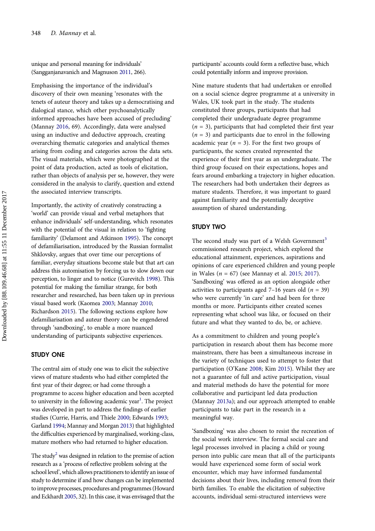<span id="page-4-0"></span>unique and personal meaning for individuals' (Sangganjanavanich and Magnuson [2011,](#page-14-0) 266).

Emphasising the importance of the individual's discovery of their own meaning 'resonates with the tenets of auteur theory and takes up a democratising and dialogical stance, which other psychoanalytically informed approaches have been accused of precluding' (Mannay [2016](#page-13-0), 69). Accordingly, data were analysed using an inductive and deductive approach, creating overarching thematic categories and analytical themes arising from coding and categories across the data sets. The visual materials, which were photographed at the point of data production, acted as tools of elicitation, rather than objects of analysis per se, however, they were considered in the analysis to clarify, question and extend the associated interview transcripts.

Importantly, the activity of creatively constructing a 'world' can provide visual and verbal metaphors that enhance individuals' self-understanding, which resonates with the potential of the visual in relation to 'fighting familiarity' (Delamont and Atkinson [1995\)](#page-12-0). The concept of defamiliarisation, introduced by the Russian formalist Shklovsky, argues that over time our perceptions of familiar, everyday situations become stale but that art can address this automisation by forcing us to slow down our perception, to linger and to notice (Gurevitch [1998\)](#page-13-0). This potential for making the familiar strange, for both researcher and researched, has been taken up in previous visual based work (Kaomea [2003;](#page-13-0) Mannay [2010;](#page-13-0) Richardson [2015](#page-14-0)). The following sections explore how defamiliarisation and auteur theory can be engendered through 'sandboxing', to enable a more nuanced understanding of participants subjective experiences.

#### STUDY ONE

The central aim of study one was to elicit the subjective views of mature students who had either completed the first year of their degree; or had come through a programme to access higher education and been accepted to university in the following academic year<sup>1</sup>. The project was developed in part to address the findings of earlier studies (Currie, Harris, and Thiele [2000](#page-12-0); Edwards [1993;](#page-12-0) Garland [1994](#page-12-0); Mannay and Morgan [2013\)](#page-13-0) that highlighted the difficulties experienced by marginalised, working-class, mature mothers who had returned to higher education.

The study<sup>[2](#page-12-0)</sup> was designed in relation to the premise of action research as a 'process of reflective problem solving at the school level', which allows practitioners to identify an issue of study to determine if and how changes can be implemented to improve processes, procedures and programmes (Howard and Eckhardt [2005,](#page-13-0) 32). In this case, it was envisaged that the participants' accounts could form a reflective base, which could potentially inform and improve provision.

Nine mature students that had undertaken or enrolled on a social science degree programme at a university in Wales, UK took part in the study. The students constituted three groups, participants that had completed their undergraduate degree programme  $(n = 3)$ , participants that had completed their first year  $(n = 3)$  and participants due to enrol in the following academic year ( $n = 3$ ). For the first two groups of participants, the scenes created represented the experience of their first year as an undergraduate. The third group focused on their expectations, hopes and fears around embarking a trajectory in higher education. The researchers had both undertaken their degrees as mature students. Therefore, it was important to guard against familiarity and the potentially deceptive assumption of shared understanding.

# STUDY TWO

The second study was part of a Welsh Government<sup>[3](#page-12-0)</sup> commissioned research project, which explored the educational attainment, experiences, aspirations and opinions of care experienced children and young people in Wales ( $n = 67$ ) (see Mannay et al. [2015;](#page-13-0) [2017](#page-14-0)). 'Sandboxing' was offered as an option alongside other activities to participants aged 7–16 years old ( $n = 39$ ) who were currently 'in care' and had been for three months or more. Participants either created scenes representing what school was like, or focused on their future and what they wanted to do, be, or achieve.

As a commitment to children and young people's participation in research about them has become more mainstream, there has been a simultaneous increase in the variety of techniques used to attempt to foster that participation (O'Kane [2008](#page-14-0); Kim [2015](#page-13-0)). Whilst they are not a guarantee of full and active participation, visual and material methods do have the potential for more collaborative and participant led data production (Mannay [2013a\)](#page-13-0); and our approach attempted to enable participants to take part in the research in a meaningful way.

'Sandboxing' was also chosen to resist the recreation of the social work interview. The formal social care and legal processes involved in placing a child or young person into public care mean that all of the participants would have experienced some form of social work encounter, which may have informed fundamental decisions about their lives, including removal from their birth families. To enable the elicitation of subjective accounts, individual semi-structured interviews were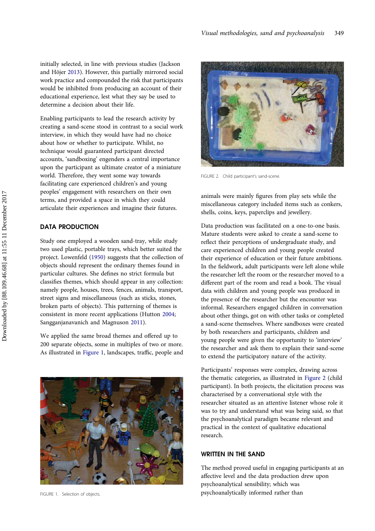<span id="page-5-0"></span>initially selected, in line with previous studies (Jackson and Höjer [2013\)](#page-13-0). However, this partially mirrored social work practice and compounded the risk that participants would be inhibited from producing an account of their educational experience, lest what they say be used to determine a decision about their life.

Enabling participants to lead the research activity by creating a sand-scene stood in contrast to a social work interview, in which they would have had no choice about how or whether to participate. Whilst, no technique would guaranteed participant directed accounts, 'sandboxing' engenders a central importance upon the participant as ultimate creator of a miniature world. Therefore, they went some way towards facilitating care experienced children's and young peoples' engagement with researchers on their own terms, and provided a space in which they could articulate their experiences and imagine their futures.

# DATA PRODUCTION

Study one employed a wooden sand-tray, while study two used plastic, portable trays, which better suited the project. Lowenfeld ([1950](#page-13-0)) suggests that the collection of objects should represent the ordinary themes found in particular cultures. She defines no strict formula but classifies themes, which should appear in any collection: namely people, houses, trees, fences, animals, transport, street signs and miscellaneous (such as sticks, stones, broken parts of objects). This patterning of themes is consistent in more recent applications (Hutton [2004;](#page-13-0) Sangganjanavanich and Magnuson [2011\)](#page-14-0).

We applied the same broad themes and offered up to 200 separate objects, some in multiples of two or more. As illustrated in Figure 1, landscapes, traffic, people and





FIGURE 2. Child participant's sand-scene.

animals were mainly figures from play sets while the miscellaneous category included items such as conkers, shells, coins, keys, paperclips and jewellery.

Data production was facilitated on a one-to-one basis. Mature students were asked to create a sand-scene to reflect their perceptions of undergraduate study, and care experienced children and young people created their experience of education or their future ambitions. In the fieldwork, adult participants were left alone while the researcher left the room or the researcher moved to a different part of the room and read a book. The visual data with children and young people was produced in the presence of the researcher but the encounter was informal. Researchers engaged children in conversation about other things, got on with other tasks or completed a sand-scene themselves. Where sandboxes were created by both researchers and participants, children and young people were given the opportunity to 'interview' the researcher and ask them to explain their sand-scene to extend the participatory nature of the activity.

Participants' responses were complex, drawing across the thematic categories, as illustrated in Figure 2 (child participant). In both projects, the elicitation process was characterised by a conversational style with the researcher situated as an attentive listener whose role it was to try and understand what was being said, so that the psychoanalytical paradigm became relevant and practical in the context of qualitative educational research.

# WRITTEN IN THE SAND

The method proved useful in engaging participants at an affective level and the data production drew upon psychoanalytical sensibility; which was FIGURE 1. Selection of objects. **psychoanalytically informed rather than**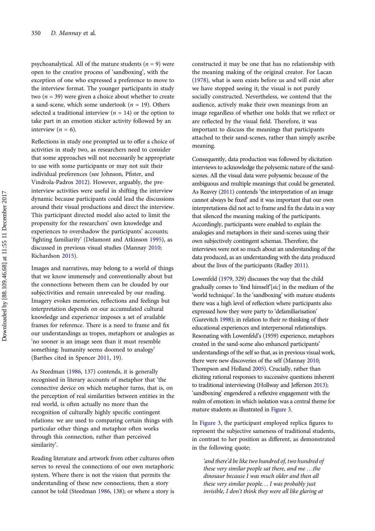<span id="page-6-0"></span>psychoanalytical. All of the mature students ( $n = 9$ ) were open to the creative process of 'sandboxing', with the exception of one who expressed a preference to move to the interview format. The younger participants in study two ( $n = 39$ ) were given a choice about whether to create a sand-scene, which some undertook ( $n = 19$ ). Others selected a traditional interview ( $n = 14$ ) or the option to take part in an emotion sticker activity followed by an interview  $(n = 6)$ .

Reflections in study one prompted us to offer a choice of activities in study two, as researchers need to consider that some approaches will not necessarily be appropriate to use with some participants or may not suit their individual preferences (see Johnson, Pfister, and Vindrola-Padros [2012\)](#page-13-0). However, arguably, the preinterview activities were useful in shifting the interview dynamic because participants could lead the discussions around their visual productions and direct the interview. This participant directed model also acted to limit the propensity for the researchers' own knowledge and experiences to overshadow the participants' accounts; 'fighting familiarity' (Delamont and Atkinson [1995\)](#page-12-0), as discussed in previous visual studies (Mannay [2010;](#page-13-0) Richardson [2015](#page-14-0)).

Images and narratives, may belong to a world of things that we know immensely and conventionally about but the connections between them can be clouded by our subjectivities and remain unrevealed by our reading. Imagery evokes memories, reflections and feelings but interpretation depends on our accumulated cultural knowledge and experience imposes a set of available frames for reference. There is a need to frame and fix our understandings as tropes, metaphors or analogies as 'no sooner is an image seen than it must resemble something: humanity seems doomed to analogy' (Barthes cited in Spencer [2011,](#page-14-0) 19).

As Steedman [\(1986](#page-14-0), 137) contends, it is generally recognised in literary accounts of metaphor that 'the connective device on which metaphor turns, that is, on the perception of real similarities between entities in the real world, is often actually no more than the recognition of culturally highly specific contingent relations: we are used to comparing certain things with particular other things and metaphor often works through this connection, rather than perceived similarity'.

Reading literature and artwork from other cultures often serves to reveal the connections of our own metaphoric system. Where there is not the vision that permits the understanding of these new connections, then a story cannot be told (Steedman [1986,](#page-14-0) 138); or where a story is constructed it may be one that has no relationship with the meaning making of the original creator. For Lacan [\(1978](#page-13-0)), what is seen exists before us and will exist after we have stopped seeing it; the visual is not purely socially constructed. Nevertheless, we contend that the audience, actively make their own meanings from an image regardless of whether one holds that we reflect or are reflected by the visual field. Therefore, it was important to discuss the meanings that participants attached to their sand-scenes, rather than simply ascribe meaning.

Consequently, data production was followed by elicitation interviews to acknowledge the polysemic nature of the sandscenes. All the visual data were polysemic because of the ambiguous and multiple meanings that could be generated. As Reavey [\(2011\)](#page-14-0) contends 'the interpretation of an image cannot always be fixed' and it was important that our own interpretations did not act to frame and fix the data in a way that silenced the meaning making of the participants. Accordingly, participants were enabled to explain the analogies and metaphors in their sand-scenes using their own subjectively contingent schemas. Therefore, the interviews were not so much about an understanding of the data produced, as an understanding with the data produced about the lives of the participants (Radley [2011](#page-14-0)).

Lowenfeld [\(1979,](#page-13-0) 329) discusses the way that the child gradually comes to 'find himself'[sic] in the medium of the 'world technique'. In the 'sandboxing' with mature students there was a high level of reflection where participants also expressed how they were party to 'defamiliarisation' (Gurevitch [1998\)](#page-13-0); in relation to their re-thinking of their educational experiences and interpersonal relationships. Resonating with Lowenfeld's (1959) experience, metaphors created in the sand-scene also enhanced participants' understandings of the self so that, as in previous visual work, there were new discoveries of the self (Mannay [2010](#page-13-0); Thompson and Holland [2005\)](#page-14-0). Crucially, rather than eliciting rational responses to successive questions inherent to traditional interviewing (Hollway and Jefferson [2013\)](#page-13-0); 'sandboxing' engendered a reflexive engagement with the realm of emotion: in which isolation was a central theme for mature students as illustrated in [Figure 3](#page-7-0).

In [Figure 3](#page-7-0), the participant employed replica figures to represent the subjective sameness of traditional students, in contrast to her position as different, as demonstrated in the following quote;

'and there'd be like two hundred of, two hundred of these very similar people sat there, and me . . .the dinosaur because I was much older and then all these very similar people. . . I was probably just invisible, I don't think they were all like glaring at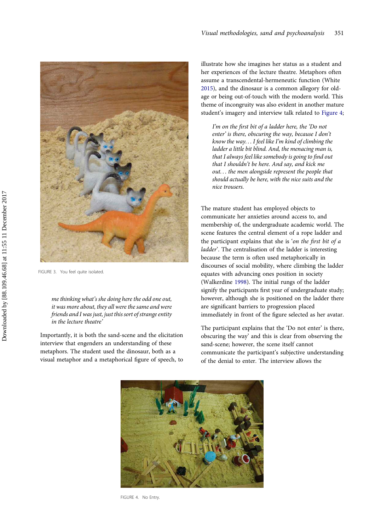<span id="page-7-0"></span>

FIGURE 3. You feel quite isolated.

me thinking what's she doing here the odd one out, it was more about, they all were the same and were friends and I was just, just this sort of strange entity in the lecture theatre'

Importantly, it is both the sand-scene and the elicitation interview that engenders an understanding of these metaphors. The student used the dinosaur, both as a visual metaphor and a metaphorical figure of speech, to illustrate how she imagines her status as a student and her experiences of the lecture theatre. Metaphors often assume a transcendental-hermeneutic function (White [2015](#page-14-0)), and the dinosaur is a common allegory for oldage or being out-of-touch with the modern world. This theme of incongruity was also evident in another mature student's imagery and interview talk related to Figure 4;

I'm on the first bit of a ladder here, the 'Do not enter' is there, obscuring the way, because I don't know the way. . . I feel like I'm kind of climbing the ladder a little bit blind. And, the menacing man is, that I always feel like somebody is going to find out that I shouldn't be here. And say, and kick me out. . . the men alongside represent the people that should actually be here, with the nice suits and the nice trousers.

The mature student has employed objects to communicate her anxieties around access to, and membership of, the undergraduate academic world. The scene features the central element of a rope ladder and the participant explains that she is 'on the first bit of a ladder'. The centralisation of the ladder is interesting because the term is often used metaphorically in discourses of social mobility, where climbing the ladder equates with advancing ones position in society (Walkerdine [1998](#page-14-0)). The initial rungs of the ladder signify the participants first year of undergraduate study; however, although she is positioned on the ladder there are significant barriers to progression placed immediately in front of the figure selected as her avatar.

The participant explains that the 'Do not enter' is there, obscuring the way' and this is clear from observing the sand-scene; however, the scene itself cannot communicate the participant's subjective understanding of the denial to enter. The interview allows the



FIGURE 4. No Entry.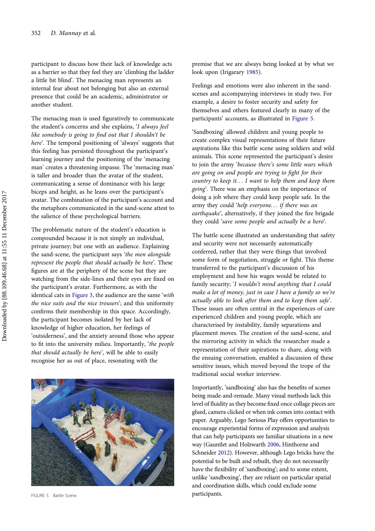<span id="page-8-0"></span>participant to discuss how their lack of knowledge acts as a barrier so that they feel they are 'climbing the ladder a little bit blind'. The menacing man represents an internal fear about not belonging but also an external presence that could be an academic, administrator or another student.

The menacing man is used figuratively to communicate the student's concerns and she explains, 'I always feel like somebody is going to find out that I shouldn't be here'. The temporal positioning of 'always' suggests that this feeling has persisted throughout the participant's learning journey and the positioning of the 'menacing man' creates a threatening impasse. The 'menacing man' is taller and broader than the avatar of the student, communicating a sense of dominance with his large biceps and height, as he leans over the participant's avatar. The combination of the participant's account and the metaphors communicated in the sand-scene attest to the salience of these psychological barriers.

The problematic nature of the student's education is compounded because it is not simply an individual, private journey; but one with an audience. Explaining the sand-scene, the participant says 'the men alongside represent the people that should actually be here'. These figures are at the periphery of the scene but they are watching from the side-lines and their eyes are fixed on the participant's avatar. Furthermore, as with the identical cats in [Figure 3,](#page-7-0) the audience are the same 'with the nice suits and the nice trousers'; and this uniformity confirms their membership in this space. Accordingly, the participant becomes isolated by her lack of knowledge of higher education, her feelings of 'outsiderness', and the anxiety around those who appear to fit into the university milieu. Importantly, 'the people that should actually be here', will be able to easily recognise her as out of place, resonating with the



premise that we are always being looked at by what we look upon (Irigarary [1985](#page-13-0)).

Feelings and emotions were also inherent in the sandscenes and accompanying interviews in study two. For example, a desire to foster security and safety for themselves and others featured clearly in many of the participants' accounts, as illustrated in Figure 5.

'Sandboxing' allowed children and young people to create complex visual representations of their future aspirations like this battle scene using soldiers and wild animals. This scene represented the participant's desire to join the army 'because there's some little wars which are going on and people are trying to fight for their country to keep it... I want to help them and keep them going'. There was an emphasis on the importance of doing a job where they could keep people safe. In the army they could 'help everyone. . . if there was an earthquake', alternatively, if they joined the fire brigade they could 'save some people and actually be a hero'.

The battle scene illustrated an understanding that safety and security were not necessarily automatically conferred, rather that they were things that involved some form of negotiation, struggle or fight. This theme transferred to the participant's discussion of his employment and how his wages would be related to family security; 'I wouldn't mind anything that I could make a lot of money, just in case I have a family so we're actually able to look after them and to keep them safe'. These issues are often central in the experiences of care experienced children and young people, which are characterised by instability, family separations and placement moves. The creation of the sand-scene, and the mirroring activity in which the researcher made a representation of their aspirations to share, along with the ensuing conversation, enabled a discussion of these sensitive issues, which moved beyond the trope of the traditional social worker interview.

Importantly, 'sandboxing' also has the benefits of scenes being made-and-remade. Many visual methods lack this level of fluidity as they become fixed once collage pieces are glued, camera clicked or when ink comes into contact with paper. Arguably, Lego Serious Play offers opportunities to encourage experiential forms of expression and analysis that can help participants see familiar situations in a new way (Gauntlet and Holzwarth [2006,](#page-13-0) Hinthorne and Schneider [2012\)](#page-13-0). However, although Lego bricks have the potential to be built and rebuilt, they do not necessarily have the flexibility of 'sandboxing'; and to some extent, unlike 'sandboxing', they are reliant on particular spatial and coordination skills, which could exclude some participants. FIGURE 5. Battle Scene.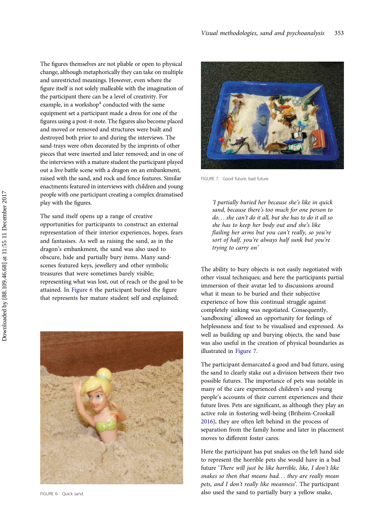<span id="page-9-0"></span>The figures themselves are not pliable or open to physical change, although metaphorically they can take on multiple and unrestricted meanings. However, even where the figure itself is not solely malleable with the imagination of the participant there can be a level of creativity. For example, in a workshop $4$  conducted with the same equipment set a participant made a dress for one of the figures using a post-it-note. The figures also become placed and moved or removed and structures were built and destroyed both prior to and during the interviews. The sand-trays were often decorated by the imprints of other pieces that were inserted and later removed; and in one of the interviews with a mature student the participant played out a live battle scene with a dragon on an embankment, raised with the sand, and rock and fence features. Similar enactments featured in interviews with children and young people with one participant creating a complex dramatised play with the figures.

The sand itself opens up a range of creative opportunities for participants to construct an external representation of their interior experiences, hopes, fears and fantasises. As well as raising the sand, as in the dragon's embankment, the sand was also used to obscure, hide and partially bury items. Many sandscenes featured keys, jewellery and other symbolic treasures that were sometimes barely visible; representing what was lost, out of reach or the goal to be attained. In Figure 6 the participant buried the figure that represents her mature student self and explained;





FIGURE 7. Good future, bad future.

'I partially buried her because she's like in quick sand, because there's too much for one person to do. . . she can't do it all, but she has to do it all so she has to keep her body out and she's like flailing her arms but you can't really, so you're sort of half, you're always half sunk but you're trying to carry on'

The ability to bury objects is not easily negotiated with other visual techniques; and here the participants partial immersion of their avatar led to discussions around what it mean to be buried and their subjective experience of how this continual struggle against completely sinking was negotiated. Consequently, 'sandboxing' allowed an opportunity for feelings of helplessness and fear to be visualised and expressed. As well as building up and burying objects, the sand base was also useful in the creation of physical boundaries as illustrated in Figure 7.

The participant demarcated a good and bad future, using the sand to clearly stake out a division between their two possible futures. The importance of pets was notable in many of the care experienced children's and young people's accounts of their current experiences and their future lives. Pets are significant, as although they play an active role in fostering well-being (Briheim-Crookall [2016\)](#page-12-0), they are often left behind in the process of separation from the family home and later in placement moves to different foster cares.

Here the participant has put snakes on the left hand side to represent the horrible pets she would have in a bad future 'There will just be like horrible, like, I don't like snakes so then that means bad. . . they are really mean pets, and I don't really like meanness'. The participant FIGURE 6. Quick sand. **also used the sand to partially bury a yellow snake,**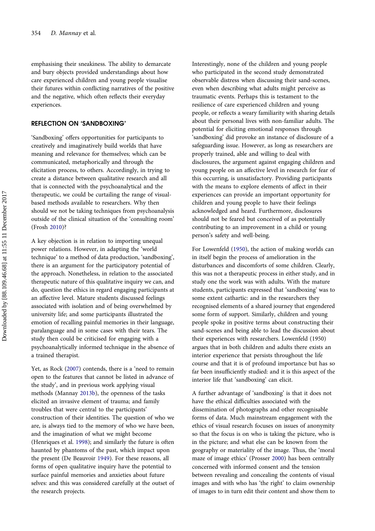<span id="page-10-0"></span>emphasising their sneakiness. The ability to demarcate and bury objects provided understandings about how care experienced children and young people visualise their futures within conflicting narratives of the positive and the negative, which often reflects their everyday experiences.

#### REFLECTION ON 'SANDBOXING'

'Sandboxing' offers opportunities for participants to creatively and imaginatively build worlds that have meaning and relevance for themselves; which can be communicated, metaphorically and through the elicitation process, to others. Accordingly, in trying to create a distance between qualitative research and all that is connected with the psychoanalytical and the therapeutic, we could be curtailing the range of visualbased methods available to researchers. Why then should we not be taking techniques from psychoanalysis outside of the clinical situation of the 'consulting room' (Frosh [2010](#page-12-0))?

A key objection is in relation to importing unequal power relations. However, in adapting the 'world technique' to a method of data production, 'sandboxing', there is an argument for the participatory potential of the approach. Nonetheless, in relation to the associated therapeutic nature of this qualitative inquiry we can, and do, question the ethics in regard engaging participants at an affective level. Mature students discussed feelings associated with isolation and of being overwhelmed by university life; and some participants illustrated the emotion of recalling painful memories in their language, paralanguage and in some cases with their tears. The study then could be criticised for engaging with a psychoanalytically informed technique in the absence of a trained therapist.

Yet, as Rock ([2007](#page-14-0)) contends, there is a 'need to remain open to the features that cannot be listed in advance of the study', and in previous work applying visual methods (Mannay [2013b](#page-13-0)), the openness of the tasks elicited an invasive element of trauma; and family troubles that were central to the participants' construction of their identities. The question of who we are, is always tied to the memory of who we have been, and the imagination of what we might become (Henriques et al. [1998](#page-13-0)); and similarly the future is often haunted by phantoms of the past, which impact upon the present (De Beauvoir [1949\)](#page-12-0). For these reasons, all forms of open qualitative inquiry have the potential to surface painful memories and anxieties about future selves: and this was considered carefully at the outset of the research projects.

Interestingly, none of the children and young people who participated in the second study demonstrated observable distress when discussing their sand-scenes, even when describing what adults might perceive as traumatic events. Perhaps this is testament to the resilience of care experienced children and young people, or reflects a weary familiarity with sharing details about their personal lives with non-familiar adults. The potential for eliciting emotional responses through 'sandboxing' did provoke an instance of disclosure of a safeguarding issue. However, as long as researchers are properly trained, able and willing to deal with disclosures, the argument against engaging children and young people on an affective level in research for fear of this occurring, is unsatisfactory. Providing participants with the means to explore elements of affect in their experiences can provide an important opportunity for children and young people to have their feelings acknowledged and heard. Furthermore, disclosures should not be feared but conceived of as potentially contributing to an improvement in a child or young person's safety and well-being.

For Lowenfeld ([1950](#page-13-0)), the action of making worlds can in itself begin the process of amelioration in the disturbances and discomforts of some children. Clearly, this was not a therapeutic process in either study, and in study one the work was with adults. With the mature students, participants expressed that 'sandboxing' was to some extent cathartic: and in the researchers they recognised elements of a shared journey that engendered some form of support. Similarly, children and young people spoke in positive terms about constructing their sand-scenes and being able to lead the discussion about their experiences with researchers. Lowenfeld (1950) argues that in both children and adults there exists an interior experience that persists throughout the life course and that it is of profound importance but has so far been insufficiently studied: and it is this aspect of the interior life that 'sandboxing' can elicit.

A further advantage of 'sandboxing' is that it does not have the ethical difficulties associated with the dissemination of photographs and other recognisable forms of data. Much mainstream engagement with the ethics of visual research focuses on issues of anonymity so that the focus is on who is taking the picture, who is in the picture; and what else can be known from the geography or materiality of the image. Thus, the 'moral maze of image ethics' (Prosser [2000\)](#page-14-0) has been centrally concerned with informed consent and the tension between revealing and concealing the contents of visual images and with who has 'the right' to claim ownership of images to in turn edit their content and show them to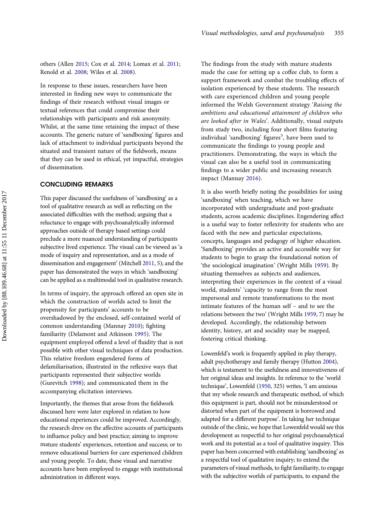<span id="page-11-0"></span>others (Allen [2015](#page-12-0); Cox et al. [2014;](#page-12-0) Lomax et al. [2011](#page-13-0); Renold et al. [2008](#page-14-0); Wiles et al. [2008\)](#page-14-0).

In response to these issues, researchers have been interested in finding new ways to communicate the findings of their research without visual images or textual references that could compromise their relationships with participants and risk anonymity. Whilst, at the same time retaining the impact of these accounts. The generic nature of 'sandboxing' figures and lack of attachment to individual participants beyond the situated and transient nature of the fieldwork, means that they can be used in ethical, yet impactful, strategies of dissemination.

## CONCLUDING REMARKS

This paper discussed the usefulness of 'sandboxing' as a tool of qualitative research as well as reflecting on the associated difficulties with the method; arguing that a reluctance to engage with psychoanalytically informed approaches outside of therapy based settings could preclude a more nuanced understanding of participants subjective lived experience. The visual can be viewed as 'a mode of inquiry and representation, and as a mode of dissemination and engagement' (Mitchell [2011,](#page-14-0) 5); and the paper has demonstrated the ways in which 'sandboxing' can be applied as a multimodal tool in qualitative research.

In terms of inquiry, the approach offered an open site in which the construction of worlds acted to limit the propensity for participants' accounts to be overshadowed by the enclosed, self-contained world of common understanding (Mannay [2010\)](#page-13-0); fighting familiarity (Delamont and Atkinson [1995](#page-12-0)). The equipment employed offered a level of fluidity that is not possible with other visual techniques of data production. This relative freedom engendered forms of defamiliarisation, illustrated in the reflexive ways that participants represented their subjective worlds (Gurevitch [1998](#page-13-0)); and communicated them in the accompanying elicitation interviews.

Importantly, the themes that arose from the fieldwork discussed here were later explored in relation to how educational experiences could be improved. Accordingly, the research drew on the affective accounts of participants to influence policy and best practice; aiming to improve mature students' experiences, retention and success; or to remove educational barriers for care experienced children and young people. To date, these visual and narrative accounts have been employed to engage with institutional administration in different ways.

The findings from the study with mature students made the case for setting up a coffee club, to form a support framework and combat the troubling effects of isolation experienced by these students. The research with care experienced children and young people informed the Welsh Government strategy 'Raising the ambitions and educational attainment of children who are looked after in Wales'. Additionally, visual outputs from study two, including four short films featuring individual 'sandboxing' figures<sup>5</sup>, have been used to communicate the findings to young people and practitioners. Demonstrating, the ways in which the visual can also be a useful tool in communicating findings to a wider public and increasing research impact (Mannay [2016](#page-13-0)).

It is also worth briefly noting the possibilities for using 'sandboxing' when teaching, which we have incorporated with undergraduate and post-graduate students, across academic disciplines. Engendering affect is a useful way to foster reflexivity for students who are faced with the new and particular expectations, concepts, languages and pedagogy of higher education. 'Sandboxing' provides an active and accessible way for students to begin to grasp the foundational notion of 'the sociological imagination' (Wright Mills [1959\)](#page-14-0). By situating themselves as subjects and audiences, interpreting their experiences in the context of a visual world, students' 'capacity to range from the most impersonal and remote transformations to the most intimate features of the human self – and to see the relations between the two' (Wright Mills [1959,](#page-14-0) 7) may be developed. Accordingly, the relationship between identity, history, art and sociality may be mapped, fostering critical thinking.

Lowenfeld's work is frequently applied in play therapy, adult psychotherapy and family therapy (Hutton [2004](#page-13-0)), which is testament to the usefulness and innovativeness of her original ideas and insights. In reference to the 'world technique', Lowenfeld [\(1950](#page-13-0), 325) writes, 'I am anxious that my whole research and therapeutic method, of which this equipment is part, should not be misunderstood or distorted when part of the equipment is borrowed and adapted for a different purpose'. In taking her technique outside of the clinic, we hope that Lowenfeld would see this development as respectful to her original psychoanalytical work and its potential as a tool of qualitative inquiry. This paper has been concerned with establishing 'sandboxing' as a respectful tool of qualitative inquiry; to extend the parameters of visual methods, to fight familiarity, to engage with the subjective worlds of participants, to expand the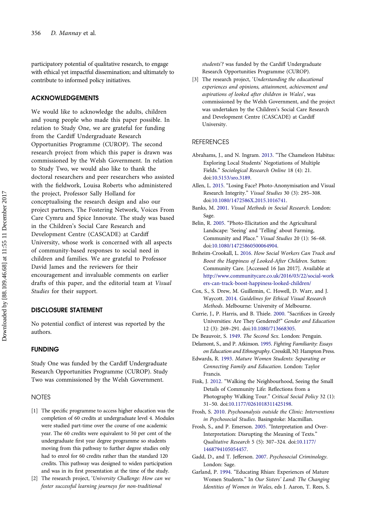<span id="page-12-0"></span>participatory potential of qualitative research, to engage with ethical yet impactful dissemination; and ultimately to contribute to informed policy initiatives.

#### ACKNOWLEDGEMENTS

We would like to acknowledge the adults, children and young people who made this paper possible. In relation to Study One, we are grateful for funding from the Cardiff Undergraduate Research Opportunities Programme (CUROP). The second research project from which this paper is drawn was commissioned by the Welsh Government. In relation to Study Two, we would also like to thank the doctoral researchers and peer researchers who assisted with the fieldwork, Louisa Roberts who administered the project, Professor Sally Holland for conceptualising the research design and also our project partners, The Fostering Network, Voices From Care Cymru and Spice Innovate. The study was based in the Children's Social Care Research and Development Centre (CASCADE) at Cardiff University, whose work is concerned with all aspects of community-based responses to social need in children and families. We are grateful to Professor David James and the reviewers for their encouragement and invaluable comments on earlier drafts of this paper, and the editorial team at Visual Studies for their support.

#### DISCLOSURE STATEMENT

No potential conflict of interest was reported by the authors.

## FUNDING

Study One was funded by the Cardiff Undergraduate Research Opportunities Programme (CUROP). Study Two was commissioned by the Welsh Government.

#### **NOTES**

- [1] The specific programme to access higher education was the completion of 60 credits at undergraduate level 4. Modules were studied part-time over the course of one academic year. The 60 credits were equivalent to 50 per cent of the undergraduate first year degree programme so students moving from this pathway to further degree studies only had to enrol for 60 credits rather than the standard 120 credits. This pathway was designed to widen participation and was in its first presentation at the time of the study.
- [2] The research project, 'University Challenge: How can we foster successful learning journeys for non-traditional

students'? was funded by the Cardiff Undergraduate Research Opportunities Programme (CUROP).

[3] The research project, 'Understanding the educational experiences and opinions, attainment, achievement and aspirations of looked after children in Wales', was commissioned by the Welsh Government, and the project was undertaken by the Children's Social Care Research and Development Centre (CASCADE) at Cardiff University.

#### **REFERENCES**

- Abrahams, J., and N. Ingram. [2013](#page-2-0). "The Chameleon Habitus: Exploring Local Students' Negotiations of Multiple Fields." Sociological Research Online 18 (4): 21. doi[:10.5153/sro.3189.](https://doi.org/10.5153/sro.3189)
- Allen, L. [2015.](#page-11-0) "Losing Face? Photo-Anonymisation and Visual Research Integrity." Visual Studies 30 (3): 295–308. doi[:10.1080/1472586X.2015.1016741.](https://doi.org/10.1080/1472586X.2015.1016741)
- Banks, M. [2001](#page-3-0). Visual Methods in Social Research. London: Sage.
- Belin, R. [2005.](#page-2-0) "Photo-Elicitation and the Agricultural Landscape: 'Seeing' and 'Telling' about Farming, Community and Place." Visual Studies 20 (1): 56–68. doi[:10.1080/14725860500064904.](https://doi.org/10.1080/14725860500064904)
- Briheim-Crookall, L. [2016](#page-9-0). How Social Workers Can Track and Boost the Happiness of Looked-After Children. Sutton: Community Care. [Accessed 16 Jan 2017]. Available at [http://www.communitycare.co.uk/2016/03/22/social-work](http://www.communitycare.co.uk/2016/03/22/social-workers-can-track-boost-happiness-looked-children/) [ers-can-track-boost-happiness-looked-children/](http://www.communitycare.co.uk/2016/03/22/social-workers-can-track-boost-happiness-looked-children/)
- Cox, S., S. Drew, M. Guillemin, C. Howell, D. Warr, and J. Waycott. [2014](#page-11-0). Guidelines for Ethical Visual Research Methods. Melbourne: University of Melbourne.
- Currie, J., P. Harris, and B. Thiele. [2000](#page-1-0). "Sacrifices in Greedy Universities: Are They Gendered?" Gender and Education 12 (3): 269–291. doi[:10.1080/713668305.](https://doi.org/10.1080/713668305)

De Beauvoir, S. [1949.](#page-10-0) The Second Sex. London: Penguin.

- Delamont, S., and P. Atkinson. [1995.](#page-4-0) Fighting Familiarity: Essays on Education and Ethnography. Cresskill, NJ: Hampton Press.
- Edwards, R. [1993](#page-1-0). Mature Women Students: Separating or Connecting Family and Education. London: Taylor Francis.
- Fink, J. [2012.](#page-2-0) "Walking the Neighbourhood, Seeing the Small Details of Community Life: Reflections from a Photography Walking Tour." Critical Social Policy 32 (1): 31–50. doi:[10.1177/0261018311425198](https://doi.org/10.1177/0261018311425198).
- Frosh, S. [2010](#page-2-0). Psychoanalysis outside the Clinic: Interventions in Psychosocial Studies. Basingstoke: Macmillan.
- Frosh, S., and P. Emerson. [2005.](#page-2-0) "Interpretation and Over-Interpretation: Disrupting the Meaning of Texts." Qualitative Research 5 (5): 307–324. doi:[10.1177/](https://doi.org/10.1177/1468794105054457) [1468794105054457](https://doi.org/10.1177/1468794105054457).
- Gadd, D., and T. Jefferson. [2007.](#page-1-0) Psychosocial Criminology. London: Sage.
- Garland, P. [1994](#page-1-0). "Educating Rhian: Experiences of Mature Women Students." In Our Sisters' Land: The Changing Identities of Women in Wales, eds J. Aaron, T. Rees, S.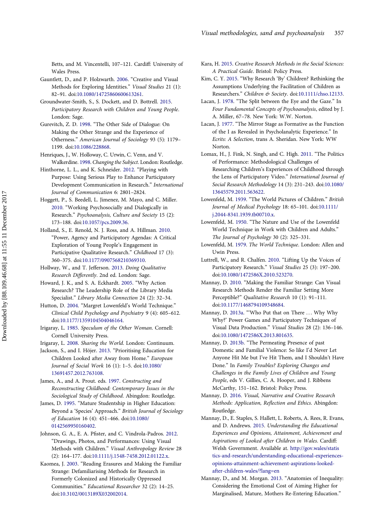<span id="page-13-0"></span>Betts, and M. Vincentelli, 107–121. Cardiff: University of Wales Press.

- Gauntlett, D., and P. Holzwarth. [2006.](#page-8-0) "Creative and Visual Methods for Exploring Identities." Visual Studies 21 (1): 82–91. doi:[10.1080/14725860600613261](https://doi.org/10.1080/14725860600613261).
- Groundwater-Smith, S., S. Dockett, and D. Bottrell. [2015](#page-2-0). Participatory Research with Children and Young People. London: Sage.
- Gurevitch, Z. D. [1998](#page-4-0). "The Other Side of Dialogue: On Making the Other Strange and the Experience of Otherness." American Journal of Sociology 93 (5): 1179– 1199. doi[:10.1086/228868.](https://doi.org/10.1086/228868)
- Henriques, J., W. Holloway, C. Urwin, C. Venn, and V. Walkerdine. [1998](#page-10-0). Changing the Subject. London: Routledge.
- Hinthorne, L. L., and K. Schneider. [2012.](#page-8-0) "Playing with Purpose: Using Serious Play to Enhance Participatory Development Communication in Research." International Journal of Communication 6: 2801–2824.
- Hoggett, P., S. Beedell, L. Jimenez, M. Mayo, and C. Miller. [2010.](#page-2-0) "Working Psychosocially and Dialogically in Research." Psychoanalysis, Culture and Society 15 (2): 173–188. doi[:10.1057/pcs.2009.36](https://doi.org/10.1057/pcs.2009.36).
- Holland, S., E. Renold, N. J. Ross, and A. Hillman. [2010](#page-2-0). "Power, Agency and Participatory Agendas: A Critical Exploration of Young People's Engagement in Participative Qualitative Research." Childhood 17 (3): 360–375. doi[:10.1177/0907568210369310.](https://doi.org/10.1177/0907568210369310)
- Hollway, W., and T. Jefferson. [2013](#page-2-0). Doing Qualitative Research Differently. 2nd ed. London: Sage.
- Howard, J. K., and S. A. Eckhardt. [2005.](#page-4-0) "Why Action Research? The Leadership Role of the Library Media Specialist." Library Media Connection 24 (2): 32–34.
- Hutton, D. [2004.](#page-3-0) "Margret Lowenfeld's World Technique." Clinical Child Psychology and Psychiatry 9 (4): 605–612. doi[:10.1177/1359104504046164.](https://doi.org/10.1177/1359104504046164)
- Irigaray, L. [1985](#page-3-0). Speculum of the Other Woman. Cornell: Cornell University Press.
- Irigaray, L. [2008](#page-3-0). Sharing the World. London: Continuum.
- Jackson, S., and I. Höjer. [2013](#page-5-0). "Prioritising Education for Children Looked after Away from Home." European Journal of Social Work 16 (1): 1–5. doi:[10.1080/](https://doi.org/10.1080/13691457.2012.763108) [13691457.2012.763108.](https://doi.org/10.1080/13691457.2012.763108)
- James, A., and A. Prout. eds. [1997](#page-2-0). Constructing and Reconstructing Childhood: Contemporary Issues in the Sociological Study of Childhood. Abingdon: Routledge.
- James, D. [1995](#page-1-0). "Mature Studentship in Higher Education: Beyond a 'Species' Approach." British Journal of Sociology of Education 16 (4): 451–466. doi:[10.1080/](https://doi.org/10.1080/0142569950160402) [0142569950160402](https://doi.org/10.1080/0142569950160402).
- Johnson, G. A., E. A. Pfister, and C. Vindrola-Padros. [2012.](#page-6-0) "Drawings, Photos, and Performances: Using Visual Methods with Children." Visual Anthropology Review 28 (2): 164–177. doi:[10.1111/j.1548-7458.2012.01122.x.](https://doi.org/10.1111/j.1548-7458.2012.01122.x)
- Kaomea, J. [2003](#page-4-0). "Reading Erasures and Making the Familiar Strange: Defamiliarising Methods for Research in Formerly Colonized and Historically Oppressed Communities." Educational Researcher 32 (2): 14–25. doi[:10.3102/0013189X032002014](https://doi.org/10.3102/0013189X032002014).
- Kara, H. [2015](#page-2-0). Creative Research Methods in the Social Sciences: A Practical Guide. Bristol: Policy Press.
- Kim, C. Y. [2015.](#page-4-0) "Why Research 'By' Children? Rethinking the Assumptions Underlying the Facilitation of Children as Researchers." Children & Society. doi[:10.1111/chso.12133.](https://doi.org/10.1111/chso.12133)
- Lacan, J. [1978](#page-2-0). "The Split between the Eye and the Gaze." In Four Fundamental Concepts of Psychoanalysis, edited by J. A. Miller, 67–78. New York: W.W. Norton.
- Lacan, J. [1977.](#page-2-0) "The Mirror Stage as Formative as the Function of the I as Revealed in Psycholanalytic Experience." In Ecrits: A Selection, trans A. Sheridan. New York: WW Norton.
- Lomax, H., J. Fink, N. Singh, and C. High. [2011](#page-2-0). "The Politics of Performance: Methodological Challenges of Researching Children's Experiences of Childhood through the Lens of Participatory Video." International Journal of Social Research Methodology 14 (3): 231–243. doi[:10.1080/](https://doi.org/10.1080/13645579.2011.563622) [13645579.2011.563622](https://doi.org/10.1080/13645579.2011.563622).
- Lowenfeld, M. [1939](#page-3-0). "The World Pictures of Children." British Journal of Medical Psychology 18: 65–101. doi:[10.1111/](https://doi.org/10.1111/j.2044-8341.1939.tb00710.x) [j.2044-8341.1939.tb00710.x](https://doi.org/10.1111/j.2044-8341.1939.tb00710.x).
- Lowenfeld, M. [1950](#page-3-0). "The Nature and Use of the Lowenfeld World Technique in Work with Children and Adults." The Journal of Psychology 30 (2): 325–331.
- Lowenfeld, M. [1979](#page-6-0). The World Technique. London: Allen and Uwin Press.
- Luttrell, W., and R. Chalfen. [2010.](#page-2-0) "Lifting Up the Voices of Participatory Research." Visual Studies 25 (3): 197–200. doi[:10.1080/1472586X.2010.523270.](https://doi.org/10.1080/1472586X.2010.523270)
- Mannay, D. [2010](#page-2-0). "Making the Familiar Strange: Can Visual Research Methods Render the Familiar Setting More Perceptible?" Qualitative Research 10 (1): 91–111. doi[:10.1177/1468794109348684.](https://doi.org/10.1177/1468794109348684)
- Mannay, D. [2013a.](#page-2-0) "'Who Put that on There ... Why Why Why?' Power Games and Participatory Techniques of Visual Data Production." Visual Studies 28 (2): 136–146. doi[:10.1080/1472586X.2013.801635.](https://doi.org/10.1080/1472586X.2013.801635)
- Mannay, D. [2013b.](#page-10-0) "The Permeating Presence of past Domestic and Familial Violence: So like I'd Never Let Anyone Hit Me but I've Hit Them, and I Shouldn't Have Done." In Family Troubles? Exploring Changes and Challenges in the Family Lives of Children and Young People, eds V. Gillies, C. A. Hooper, and J. Ribbens McCarthy, 151–162. Bristol: Policy Press.
- Mannay, D. [2016](#page-2-0). Visual, Narrative and Creative Research Methods: Application, Reflection and Ethics. Abingdon: Routledge.
- Mannay, D., E. Staples, S. Hallett, L. Roberts, A. Rees, R. Evans, and D. Andrews. [2015.](#page-4-0) Understanding the Educational Experiences and Opinions, Attainment, Achievement and Aspirations of Looked after Children in Wales. Cardiff: Welsh Government. Available at. [http://gov.wales/statis](http://gov.wales/statistics-and-research/understanding-educational-experiences-opinions-attainment-achievement-aspirations-looked-after-children-wales/?lang=en) [tics-and-research/understanding-educational-experiences](http://gov.wales/statistics-and-research/understanding-educational-experiences-opinions-attainment-achievement-aspirations-looked-after-children-wales/?lang=en)[opinions-attainment-achievement-aspirations-looked](http://gov.wales/statistics-and-research/understanding-educational-experiences-opinions-attainment-achievement-aspirations-looked-after-children-wales/?lang=en)[after-children-wales/?lang=en](http://gov.wales/statistics-and-research/understanding-educational-experiences-opinions-attainment-achievement-aspirations-looked-after-children-wales/?lang=en)
- Mannay, D., and M. Morgan. [2013.](#page-4-0) "Anatomies of Inequality: Considering the Emotional Cost of Aiming Higher for Marginalised, Mature, Mothers Re-Entering Education."